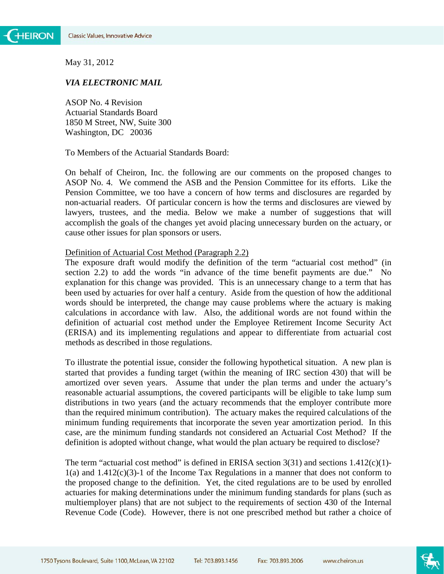May 31, 2012

### *VIA ELECTRONIC MAIL*

ASOP No. 4 Revision Actuarial Standards Board 1850 M Street, NW, Suite 300 Washington, DC 20036

To Members of the Actuarial Standards Board:

On behalf of Cheiron, Inc. the following are our comments on the proposed changes to ASOP No. 4. We commend the ASB and the Pension Committee for its efforts. Like the Pension Committee, we too have a concern of how terms and disclosures are regarded by non-actuarial readers. Of particular concern is how the terms and disclosures are viewed by lawyers, trustees, and the media. Below we make a number of suggestions that will accomplish the goals of the changes yet avoid placing unnecessary burden on the actuary, or cause other issues for plan sponsors or users.

### Definition of Actuarial Cost Method (Paragraph 2.2)

The exposure draft would modify the definition of the term "actuarial cost method" (in section 2.2) to add the words "in advance of the time benefit payments are due." No explanation for this change was provided. This is an unnecessary change to a term that has been used by actuaries for over half a century. Aside from the question of how the additional words should be interpreted, the change may cause problems where the actuary is making calculations in accordance with law. Also, the additional words are not found within the definition of actuarial cost method under the Employee Retirement Income Security Act (ERISA) and its implementing regulations and appear to differentiate from actuarial cost methods as described in those regulations.

To illustrate the potential issue, consider the following hypothetical situation. A new plan is started that provides a funding target (within the meaning of IRC section 430) that will be amortized over seven years. Assume that under the plan terms and under the actuary's reasonable actuarial assumptions, the covered participants will be eligible to take lump sum distributions in two years (and the actuary recommends that the employer contribute more than the required minimum contribution). The actuary makes the required calculations of the minimum funding requirements that incorporate the seven year amortization period. In this case, are the minimum funding standards not considered an Actuarial Cost Method? If the definition is adopted without change, what would the plan actuary be required to disclose?

The term "actuarial cost method" is defined in ERISA section  $3(31)$  and sections  $1.412(c)(1)$ - $1(a)$  and  $1.412(c)(3)-1$  of the Income Tax Regulations in a manner that does not conform to the proposed change to the definition. Yet, the cited regulations are to be used by enrolled actuaries for making determinations under the minimum funding standards for plans (such as multiemployer plans) that are not subject to the requirements of section 430 of the Internal Revenue Code (Code). However, there is not one prescribed method but rather a choice of

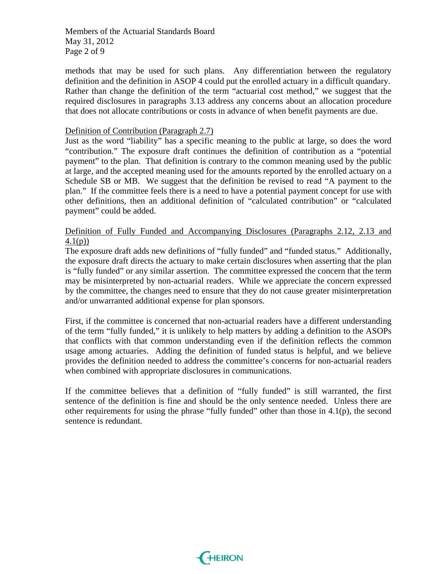Members of the Actuarial Standards Board May 31, 2012 Page 2 of 9

methods that may be used for such plans. Any differentiation between the regulatory definition and the definition in ASOP 4 could put the enrolled actuary in a difficult quandary. Rather than change the definition of the term "actuarial cost method," we suggest that the required disclosures in paragraphs 3.13 address any concerns about an allocation procedure that does not allocate contributions or costs in advance of when benefit payments are due.

# Definition of Contribution (Paragraph 2.7)

Just as the word "liability" has a specific meaning to the public at large, so does the word "contribution." The exposure draft continues the definition of contribution as a "potential payment" to the plan. That definition is contrary to the common meaning used by the public at large, and the accepted meaning used for the amounts reported by the enrolled actuary on a Schedule SB or MB. We suggest that the definition be revised to read "A payment to the plan." If the committee feels there is a need to have a potential payment concept for use with other definitions, then an additional definition of "calculated contribution" or "calculated payment" could be added.

# Definition of Fully Funded and Accompanying Disclosures (Paragraphs 2.12, 2.13 and 4.1(p))

The exposure draft adds new definitions of "fully funded" and "funded status." Additionally, the exposure draft directs the actuary to make certain disclosures when asserting that the plan is "fully funded" or any similar assertion. The committee expressed the concern that the term may be misinterpreted by non-actuarial readers. While we appreciate the concern expressed by the committee, the changes need to ensure that they do not cause greater misinterpretation and/or unwarranted additional expense for plan sponsors.

First, if the committee is concerned that non-actuarial readers have a different understanding of the term "fully funded," it is unlikely to help matters by adding a definition to the ASOPs that conflicts with that common understanding even if the definition reflects the common usage among actuaries. Adding the definition of funded status is helpful, and we believe provides the definition needed to address the committee's concerns for non-actuarial readers when combined with appropriate disclosures in communications.

If the committee believes that a definition of "fully funded" is still warranted, the first sentence of the definition is fine and should be the only sentence needed. Unless there are other requirements for using the phrase "fully funded" other than those in 4.1(p), the second sentence is redundant.

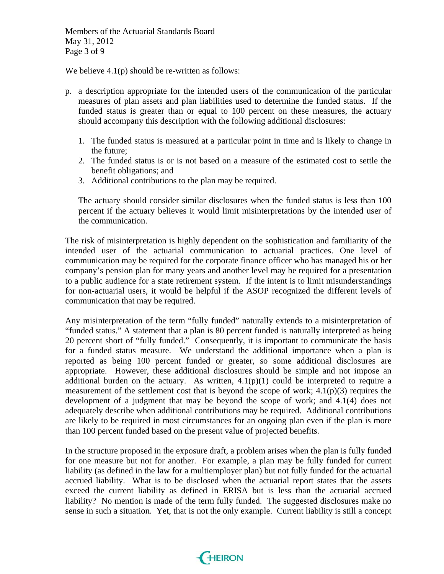Members of the Actuarial Standards Board May 31, 2012 Page 3 of 9

We believe 4.1(p) should be re-written as follows:

- p. a description appropriate for the intended users of the communication of the particular measures of plan assets and plan liabilities used to determine the funded status. If the funded status is greater than or equal to 100 percent on these measures, the actuary should accompany this description with the following additional disclosures:
	- 1. The funded status is measured at a particular point in time and is likely to change in the future;
	- 2. The funded status is or is not based on a measure of the estimated cost to settle the benefit obligations; and
	- 3. Additional contributions to the plan may be required.

The actuary should consider similar disclosures when the funded status is less than 100 percent if the actuary believes it would limit misinterpretations by the intended user of the communication.

The risk of misinterpretation is highly dependent on the sophistication and familiarity of the intended user of the actuarial communication to actuarial practices. One level of communication may be required for the corporate finance officer who has managed his or her company's pension plan for many years and another level may be required for a presentation to a public audience for a state retirement system. If the intent is to limit misunderstandings for non-actuarial users, it would be helpful if the ASOP recognized the different levels of communication that may be required.

Any misinterpretation of the term "fully funded" naturally extends to a misinterpretation of "funded status." A statement that a plan is 80 percent funded is naturally interpreted as being 20 percent short of "fully funded." Consequently, it is important to communicate the basis for a funded status measure. We understand the additional importance when a plan is reported as being 100 percent funded or greater, so some additional disclosures are appropriate. However, these additional disclosures should be simple and not impose an additional burden on the actuary. As written,  $4.1(p)(1)$  could be interpreted to require a measurement of the settlement cost that is beyond the scope of work; 4.1(p)(3) requires the development of a judgment that may be beyond the scope of work; and 4.1(4) does not adequately describe when additional contributions may be required. Additional contributions are likely to be required in most circumstances for an ongoing plan even if the plan is more than 100 percent funded based on the present value of projected benefits.

In the structure proposed in the exposure draft, a problem arises when the plan is fully funded for one measure but not for another. For example, a plan may be fully funded for current liability (as defined in the law for a multiemployer plan) but not fully funded for the actuarial accrued liability. What is to be disclosed when the actuarial report states that the assets exceed the current liability as defined in ERISA but is less than the actuarial accrued liability? No mention is made of the term fully funded. The suggested disclosures make no sense in such a situation. Yet, that is not the only example. Current liability is still a concept

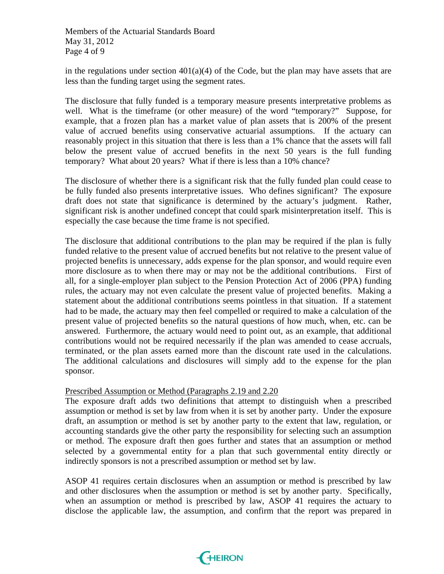Members of the Actuarial Standards Board May 31, 2012 Page 4 of 9

in the regulations under section  $401(a)(4)$  of the Code, but the plan may have assets that are less than the funding target using the segment rates.

The disclosure that fully funded is a temporary measure presents interpretative problems as well. What is the timeframe (or other measure) of the word "temporary?" Suppose, for example, that a frozen plan has a market value of plan assets that is 200% of the present value of accrued benefits using conservative actuarial assumptions. If the actuary can reasonably project in this situation that there is less than a 1% chance that the assets will fall below the present value of accrued benefits in the next 50 years is the full funding temporary? What about 20 years? What if there is less than a 10% chance?

The disclosure of whether there is a significant risk that the fully funded plan could cease to be fully funded also presents interpretative issues. Who defines significant? The exposure draft does not state that significance is determined by the actuary's judgment. Rather, significant risk is another undefined concept that could spark misinterpretation itself. This is especially the case because the time frame is not specified.

The disclosure that additional contributions to the plan may be required if the plan is fully funded relative to the present value of accrued benefits but not relative to the present value of projected benefits is unnecessary, adds expense for the plan sponsor, and would require even more disclosure as to when there may or may not be the additional contributions. First of all, for a single-employer plan subject to the Pension Protection Act of 2006 (PPA) funding rules, the actuary may not even calculate the present value of projected benefits. Making a statement about the additional contributions seems pointless in that situation. If a statement had to be made, the actuary may then feel compelled or required to make a calculation of the present value of projected benefits so the natural questions of how much, when, etc. can be answered. Furthermore, the actuary would need to point out, as an example, that additional contributions would not be required necessarily if the plan was amended to cease accruals, terminated, or the plan assets earned more than the discount rate used in the calculations. The additional calculations and disclosures will simply add to the expense for the plan sponsor.

### Prescribed Assumption or Method (Paragraphs 2.19 and 2.20

The exposure draft adds two definitions that attempt to distinguish when a prescribed assumption or method is set by law from when it is set by another party. Under the exposure draft, an assumption or method is set by another party to the extent that law, regulation, or accounting standards give the other party the responsibility for selecting such an assumption or method. The exposure draft then goes further and states that an assumption or method selected by a governmental entity for a plan that such governmental entity directly or indirectly sponsors is not a prescribed assumption or method set by law.

ASOP 41 requires certain disclosures when an assumption or method is prescribed by law and other disclosures when the assumption or method is set by another party. Specifically, when an assumption or method is prescribed by law, ASOP 41 requires the actuary to disclose the applicable law, the assumption, and confirm that the report was prepared in

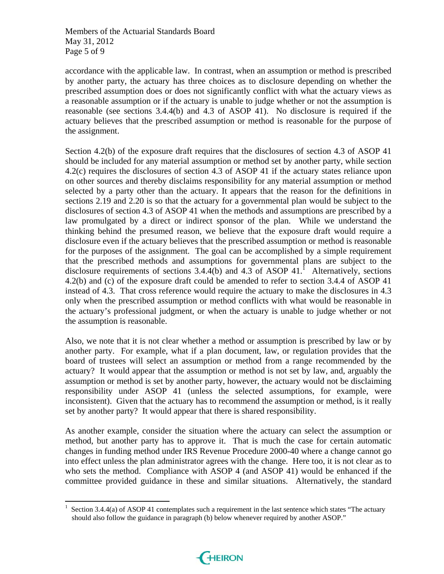Members of the Actuarial Standards Board May 31, 2012 Page 5 of 9

accordance with the applicable law. In contrast, when an assumption or method is prescribed by another party, the actuary has three choices as to disclosure depending on whether the prescribed assumption does or does not significantly conflict with what the actuary views as a reasonable assumption or if the actuary is unable to judge whether or not the assumption is reasonable (see sections 3.4.4(b) and 4.3 of ASOP 41). No disclosure is required if the actuary believes that the prescribed assumption or method is reasonable for the purpose of the assignment.

Section 4.2(b) of the exposure draft requires that the disclosures of section 4.3 of ASOP 41 should be included for any material assumption or method set by another party, while section 4.2(c) requires the disclosures of section 4.3 of ASOP 41 if the actuary states reliance upon on other sources and thereby disclaims responsibility for any material assumption or method selected by a party other than the actuary. It appears that the reason for the definitions in sections 2.19 and 2.20 is so that the actuary for a governmental plan would be subject to the disclosures of section 4.3 of ASOP 41 when the methods and assumptions are prescribed by a law promulgated by a direct or indirect sponsor of the plan. While we understand the thinking behind the presumed reason, we believe that the exposure draft would require a disclosure even if the actuary believes that the prescribed assumption or method is reasonable for the purposes of the assignment. The goal can be accomplished by a simple requirement that the prescribed methods and assumptions for governmental plans are subject to the disclosure requirements of sections  $3.4.4(b)$  and  $4.3$  of ASOP  $41<sup>1</sup>$ . Alternatively, sections 4.2(b) and (c) of the exposure draft could be amended to refer to section 3.4.4 of ASOP 41 instead of 4.3. That cross reference would require the actuary to make the disclosures in 4.3 only when the prescribed assumption or method conflicts with what would be reasonable in the actuary's professional judgment, or when the actuary is unable to judge whether or not the assumption is reasonable.

Also, we note that it is not clear whether a method or assumption is prescribed by law or by another party. For example, what if a plan document, law, or regulation provides that the board of trustees will select an assumption or method from a range recommended by the actuary? It would appear that the assumption or method is not set by law, and, arguably the assumption or method is set by another party, however, the actuary would not be disclaiming responsibility under ASOP 41 (unless the selected assumptions, for example, were inconsistent). Given that the actuary has to recommend the assumption or method, is it really set by another party? It would appear that there is shared responsibility.

As another example, consider the situation where the actuary can select the assumption or method, but another party has to approve it. That is much the case for certain automatic changes in funding method under IRS Revenue Procedure 2000-40 where a change cannot go into effect unless the plan administrator agrees with the change. Here too, it is not clear as to who sets the method. Compliance with ASOP 4 (and ASOP 41) would be enhanced if the committee provided guidance in these and similar situations. Alternatively, the standard



<sup>1</sup> Section 3.4.4(a) of ASOP 41 contemplates such a requirement in the last sentence which states "The actuary should also follow the guidance in paragraph (b) below whenever required by another ASOP."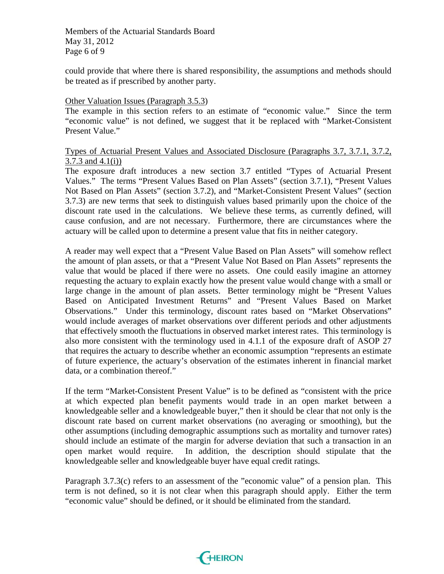Members of the Actuarial Standards Board May 31, 2012 Page 6 of 9

could provide that where there is shared responsibility, the assumptions and methods should be treated as if prescribed by another party.

#### Other Valuation Issues (Paragraph 3.5.3)

The example in this section refers to an estimate of "economic value." Since the term "economic value" is not defined, we suggest that it be replaced with "Market-Consistent Present Value."

### Types of Actuarial Present Values and Associated Disclosure (Paragraphs 3.7, 3.7.1, 3.7.2, 3.7.3 and 4.1(i))

The exposure draft introduces a new section 3.7 entitled "Types of Actuarial Present Values." The terms "Present Values Based on Plan Assets" (section 3.7.1), "Present Values Not Based on Plan Assets" (section 3.7.2), and "Market-Consistent Present Values" (section 3.7.3) are new terms that seek to distinguish values based primarily upon the choice of the discount rate used in the calculations. We believe these terms, as currently defined, will cause confusion, and are not necessary. Furthermore, there are circumstances where the actuary will be called upon to determine a present value that fits in neither category.

A reader may well expect that a "Present Value Based on Plan Assets" will somehow reflect the amount of plan assets, or that a "Present Value Not Based on Plan Assets" represents the value that would be placed if there were no assets. One could easily imagine an attorney requesting the actuary to explain exactly how the present value would change with a small or large change in the amount of plan assets. Better terminology might be "Present Values Based on Anticipated Investment Returns" and "Present Values Based on Market Observations." Under this terminology, discount rates based on "Market Observations" would include averages of market observations over different periods and other adjustments that effectively smooth the fluctuations in observed market interest rates. This terminology is also more consistent with the terminology used in 4.1.1 of the exposure draft of ASOP 27 that requires the actuary to describe whether an economic assumption "represents an estimate of future experience, the actuary's observation of the estimates inherent in financial market data, or a combination thereof."

If the term "Market-Consistent Present Value" is to be defined as "consistent with the price at which expected plan benefit payments would trade in an open market between a knowledgeable seller and a knowledgeable buyer," then it should be clear that not only is the discount rate based on current market observations (no averaging or smoothing), but the other assumptions (including demographic assumptions such as mortality and turnover rates) should include an estimate of the margin for adverse deviation that such a transaction in an open market would require. In addition, the description should stipulate that the knowledgeable seller and knowledgeable buyer have equal credit ratings.

Paragraph 3.7.3(c) refers to an assessment of the "economic value" of a pension plan. This term is not defined, so it is not clear when this paragraph should apply. Either the term "economic value" should be defined, or it should be eliminated from the standard.

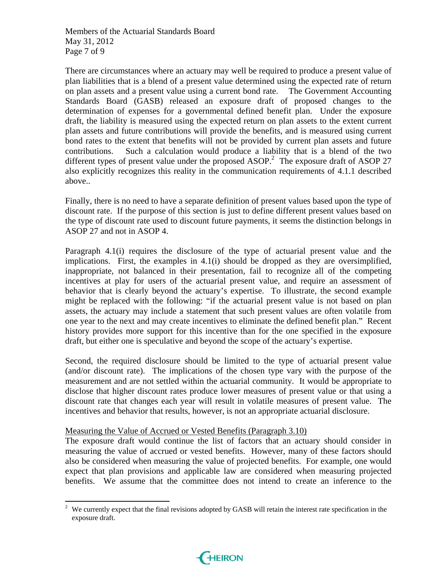Members of the Actuarial Standards Board May 31, 2012 Page 7 of 9

There are circumstances where an actuary may well be required to produce a present value of plan liabilities that is a blend of a present value determined using the expected rate of return on plan assets and a present value using a current bond rate. The Government Accounting Standards Board (GASB) released an exposure draft of proposed changes to the determination of expenses for a governmental defined benefit plan. Under the exposure draft, the liability is measured using the expected return on plan assets to the extent current plan assets and future contributions will provide the benefits, and is measured using current bond rates to the extent that benefits will not be provided by current plan assets and future contributions. Such a calculation would produce a liability that is a blend of the two different types of present value under the proposed  $ASOP<sup>2</sup>$ . The exposure draft of ASOP 27 also explicitly recognizes this reality in the communication requirements of 4.1.1 described above..

Finally, there is no need to have a separate definition of present values based upon the type of discount rate. If the purpose of this section is just to define different present values based on the type of discount rate used to discount future payments, it seems the distinction belongs in ASOP 27 and not in ASOP 4.

Paragraph 4.1(i) requires the disclosure of the type of actuarial present value and the implications. First, the examples in 4.1(i) should be dropped as they are oversimplified, inappropriate, not balanced in their presentation, fail to recognize all of the competing incentives at play for users of the actuarial present value, and require an assessment of behavior that is clearly beyond the actuary's expertise. To illustrate, the second example might be replaced with the following: "if the actuarial present value is not based on plan assets, the actuary may include a statement that such present values are often volatile from one year to the next and may create incentives to eliminate the defined benefit plan." Recent history provides more support for this incentive than for the one specified in the exposure draft, but either one is speculative and beyond the scope of the actuary's expertise.

Second, the required disclosure should be limited to the type of actuarial present value (and/or discount rate). The implications of the chosen type vary with the purpose of the measurement and are not settled within the actuarial community. It would be appropriate to disclose that higher discount rates produce lower measures of present value or that using a discount rate that changes each year will result in volatile measures of present value. The incentives and behavior that results, however, is not an appropriate actuarial disclosure.

### Measuring the Value of Accrued or Vested Benefits (Paragraph 3.10)

The exposure draft would continue the list of factors that an actuary should consider in measuring the value of accrued or vested benefits. However, many of these factors should also be considered when measuring the value of projected benefits. For example, one would expect that plan provisions and applicable law are considered when measuring projected benefits. We assume that the committee does not intend to create an inference to the

 $2$  We currently expect that the final revisions adopted by GASB will retain the interest rate specification in the exposure draft.

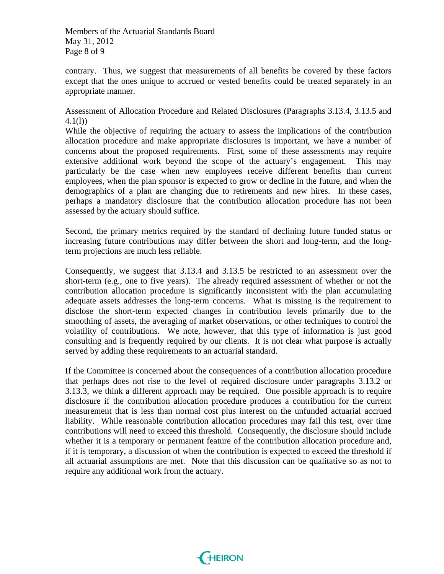Members of the Actuarial Standards Board May 31, 2012 Page 8 of 9

contrary. Thus, we suggest that measurements of all benefits be covered by these factors except that the ones unique to accrued or vested benefits could be treated separately in an appropriate manner.

# Assessment of Allocation Procedure and Related Disclosures (Paragraphs 3.13.4, 3.13.5 and 4.1(l))

While the objective of requiring the actuary to assess the implications of the contribution allocation procedure and make appropriate disclosures is important, we have a number of concerns about the proposed requirements. First, some of these assessments may require extensive additional work beyond the scope of the actuary's engagement. This may particularly be the case when new employees receive different benefits than current employees, when the plan sponsor is expected to grow or decline in the future, and when the demographics of a plan are changing due to retirements and new hires. In these cases, perhaps a mandatory disclosure that the contribution allocation procedure has not been assessed by the actuary should suffice.

Second, the primary metrics required by the standard of declining future funded status or increasing future contributions may differ between the short and long-term, and the longterm projections are much less reliable.

Consequently, we suggest that 3.13.4 and 3.13.5 be restricted to an assessment over the short-term (e.g., one to five years). The already required assessment of whether or not the contribution allocation procedure is significantly inconsistent with the plan accumulating adequate assets addresses the long-term concerns. What is missing is the requirement to disclose the short-term expected changes in contribution levels primarily due to the smoothing of assets, the averaging of market observations, or other techniques to control the volatility of contributions. We note, however, that this type of information is just good consulting and is frequently required by our clients. It is not clear what purpose is actually served by adding these requirements to an actuarial standard.

If the Committee is concerned about the consequences of a contribution allocation procedure that perhaps does not rise to the level of required disclosure under paragraphs 3.13.2 or 3.13.3, we think a different approach may be required. One possible approach is to require disclosure if the contribution allocation procedure produces a contribution for the current measurement that is less than normal cost plus interest on the unfunded actuarial accrued liability. While reasonable contribution allocation procedures may fail this test, over time contributions will need to exceed this threshold. Consequently, the disclosure should include whether it is a temporary or permanent feature of the contribution allocation procedure and, if it is temporary, a discussion of when the contribution is expected to exceed the threshold if all actuarial assumptions are met. Note that this discussion can be qualitative so as not to require any additional work from the actuary.